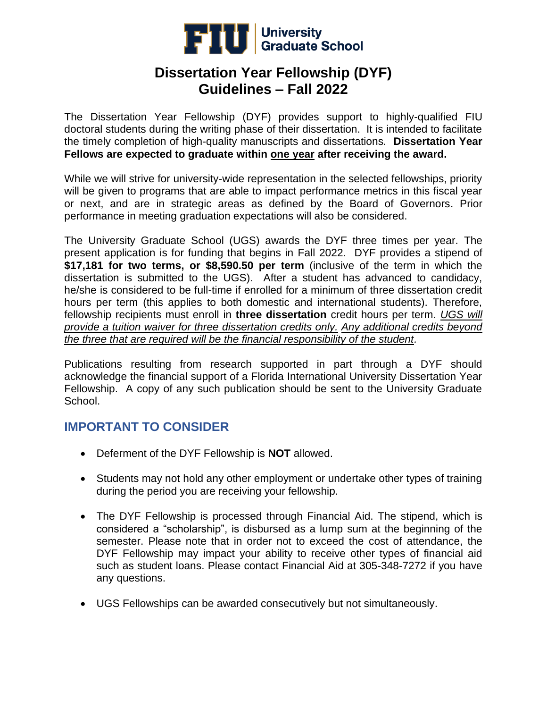

The Dissertation Year Fellowship (DYF) provides support to highly-qualified FIU doctoral students during the writing phase of their dissertation. It is intended to facilitate the timely completion of high-quality manuscripts and dissertations. **Dissertation Year Fellows are expected to graduate within one year after receiving the award.**

While we will strive for university-wide representation in the selected fellowships, priority will be given to programs that are able to impact performance metrics in this fiscal year or next, and are in strategic areas as defined by the Board of Governors. Prior performance in meeting graduation expectations will also be considered.

The University Graduate School (UGS) awards the DYF three times per year. The present application is for funding that begins in Fall 2022. DYF provides a stipend of **\$17,181 for two terms, or \$8,590.50 per term** (inclusive of the term in which the dissertation is submitted to the UGS). After a student has advanced to candidacy, he/she is considered to be full-time if enrolled for a minimum of three dissertation credit hours per term (this applies to both domestic and international students). Therefore, fellowship recipients must enroll in **three dissertation** credit hours per term. *UGS will provide a tuition waiver for three dissertation credits only. Any additional credits beyond the three that are required will be the financial responsibility of the student.*

Publications resulting from research supported in part through a DYF should acknowledge the financial support of a Florida International University Dissertation Year Fellowship. A copy of any such publication should be sent to the University Graduate School.

# **IMPORTANT TO CONSIDER**

- Deferment of the DYF Fellowship is **NOT** allowed.
- Students may not hold any other employment or undertake other types of training during the period you are receiving your fellowship.
- The DYF Fellowship is processed through Financial Aid. The stipend, which is considered a "scholarship", is disbursed as a lump sum at the beginning of the semester. Please note that in order not to exceed the cost of attendance, the DYF Fellowship may impact your ability to receive other types of financial aid such as student loans. Please contact Financial Aid at 305-348-7272 if you have any questions.
- UGS Fellowships can be awarded consecutively but not simultaneously.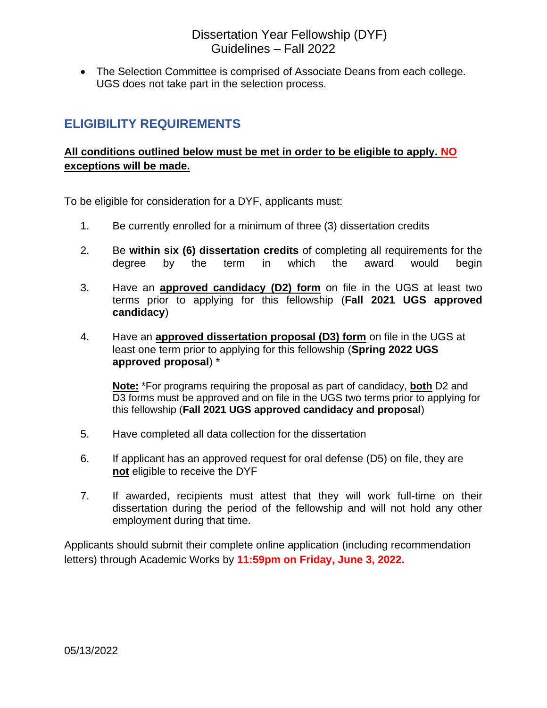• The Selection Committee is comprised of Associate Deans from each college. UGS does not take part in the selection process.

### **ELIGIBILITY REQUIREMENTS**

#### **All conditions outlined below must be met in order to be eligible to apply. NO exceptions will be made.**

To be eligible for consideration for a DYF, applicants must:

- 1. Be currently enrolled for a minimum of three (3) dissertation credits
- 2. Be **within six (6) dissertation credits** of completing all requirements for the degree by the term in which the award would begin
- 3. Have an **approved candidacy (D2) form** on file in the UGS at least two terms prior to applying for this fellowship (**Fall 2021 UGS approved candidacy**)
- 4. Have an **approved dissertation proposal (D3) form** on file in the UGS at least one term prior to applying for this fellowship (**Spring 2022 UGS approved proposal**) \*

**Note:** \*For programs requiring the proposal as part of candidacy, **both** D2 and D3 forms must be approved and on file in the UGS two terms prior to applying for this fellowship (**Fall 2021 UGS approved candidacy and proposal**)

- 5. Have completed all data collection for the dissertation
- 6. If applicant has an approved request for oral defense (D5) on file, they are **not** eligible to receive the DYF
- 7. If awarded, recipients must attest that they will work full-time on their dissertation during the period of the fellowship and will not hold any other employment during that time.

Applicants should submit their complete online application (including recommendation letters) through Academic Works by **11:59pm on Friday, June 3, 2022.**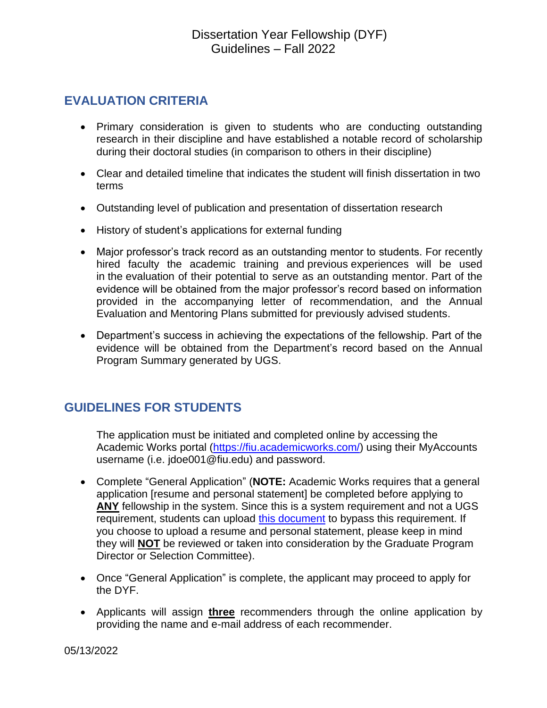# **EVALUATION CRITERIA**

- Primary consideration is given to students who are conducting outstanding research in their discipline and have established a notable record of scholarship during their doctoral studies (in comparison to others in their discipline)
- Clear and detailed timeline that indicates the student will finish dissertation in two terms
- Outstanding level of publication and presentation of dissertation research
- History of student's applications for external funding
- Major professor's track record as an outstanding mentor to students. For recently hired faculty the academic training and previous experiences will be used in the evaluation of their potential to serve as an outstanding mentor. Part of the evidence will be obtained from the major professor's record based on information provided in the accompanying letter of recommendation, and the Annual Evaluation and Mentoring Plans submitted for previously advised students.
- Department's success in achieving the expectations of the fellowship. Part of the evidence will be obtained from the Department's record based on the Annual Program Summary generated by UGS.

# **GUIDELINES FOR STUDENTS**

The application must be initiated and completed online by accessing the Academic Works portal [\(https://fiu.academicworks.com/\)](https://fiu.academicworks.com/) using their MyAccounts username (i.e. jdoe001@fiu.edu) and password.

- Complete "General Application" (**NOTE:** Academic Works requires that a general application [resume and personal statement] be completed before applying to **ANY** fellowship in the system. Since this is a system requirement and not a UGS requirement, students can upload [this document](http://gradschool.fiu.edu/wp-content/uploads/2018/10/CV-and-Personal-Statement-NOT-APPLICABLE.pdf) to bypass this requirement. If you choose to upload a resume and personal statement, please keep in mind they will **NOT** be reviewed or taken into consideration by the Graduate Program Director or Selection Committee).
- Once "General Application" is complete, the applicant may proceed to apply for the DYF.
- Applicants will assign **three** recommenders through the online application by providing the name and e-mail address of each recommender.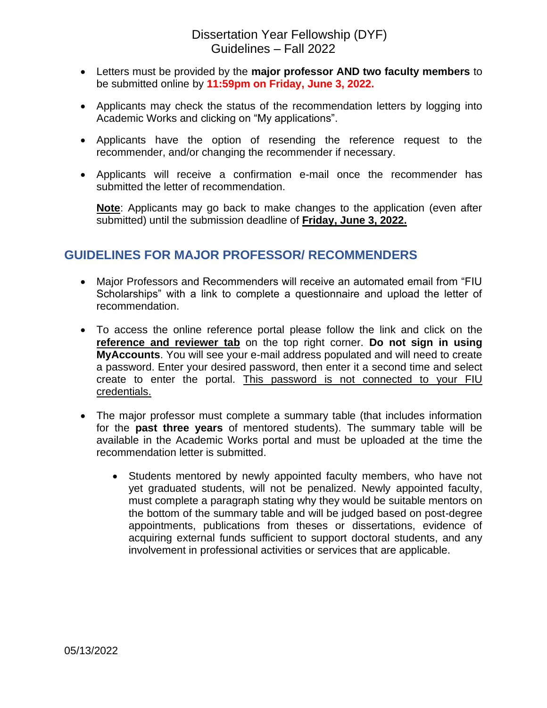- Letters must be provided by the **major professor AND two faculty members** to be submitted online by **11:59pm on Friday, June 3, 2022.**
- Applicants may check the status of the recommendation letters by logging into Academic Works and clicking on "My applications".
- Applicants have the option of resending the reference request to the recommender, and/or changing the recommender if necessary.
- Applicants will receive a confirmation e-mail once the recommender has submitted the letter of recommendation.

**Note**: Applicants may go back to make changes to the application (even after submitted) until the submission deadline of **Friday, June 3, 2022.**

### **GUIDELINES FOR MAJOR PROFESSOR/ RECOMMENDERS**

- Major Professors and Recommenders will receive an automated email from "FIU Scholarships" with a link to complete a questionnaire and upload the letter of recommendation.
- To access the online reference portal please follow the link and click on the **reference and reviewer tab** on the top right corner. **Do not sign in using MyAccounts**. You will see your e-mail address populated and will need to create a password. Enter your desired password, then enter it a second time and select create to enter the portal. This password is not connected to your FIU credentials.
- The major professor must complete a summary table (that includes information for the **past three years** of mentored students). The summary table will be available in the Academic Works portal and must be uploaded at the time the recommendation letter is submitted.
	- Students mentored by newly appointed faculty members, who have not yet graduated students, will not be penalized. Newly appointed faculty, must complete a paragraph stating why they would be suitable mentors on the bottom of the summary table and will be judged based on post-degree appointments, publications from theses or dissertations, evidence of acquiring external funds sufficient to support doctoral students, and any involvement in professional activities or services that are applicable.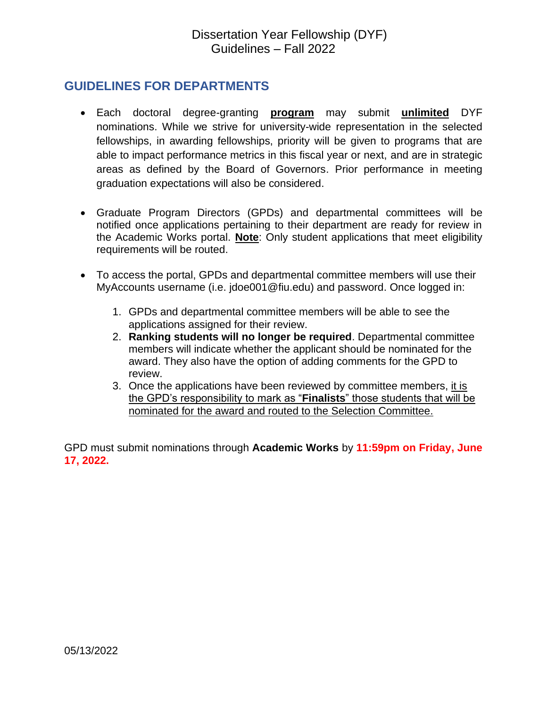### **GUIDELINES FOR DEPARTMENTS**

- Each doctoral degree-granting **program** may submit **unlimited** DYF nominations. While we strive for university-wide representation in the selected fellowships, in awarding fellowships, priority will be given to programs that are able to impact performance metrics in this fiscal year or next, and are in strategic areas as defined by the Board of Governors. Prior performance in meeting graduation expectations will also be considered.
- Graduate Program Directors (GPDs) and departmental committees will be notified once applications pertaining to their department are ready for review in the Academic Works portal. **Note**: Only student applications that meet eligibility requirements will be routed.
- To access the portal, GPDs and departmental committee members will use their MyAccounts username (i.e. jdoe001@fiu.edu) and password. Once logged in:
	- 1. GPDs and departmental committee members will be able to see the applications assigned for their review.
	- 2. **Ranking students will no longer be required**. Departmental committee members will indicate whether the applicant should be nominated for the award. They also have the option of adding comments for the GPD to review.
	- 3. Once the applications have been reviewed by committee members, it is the GPD's responsibility to mark as "**Finalists**" those students that will be nominated for the award and routed to the Selection Committee.

GPD must submit nominations through **Academic Works** by **11:59pm on Friday, June 17, 2022.**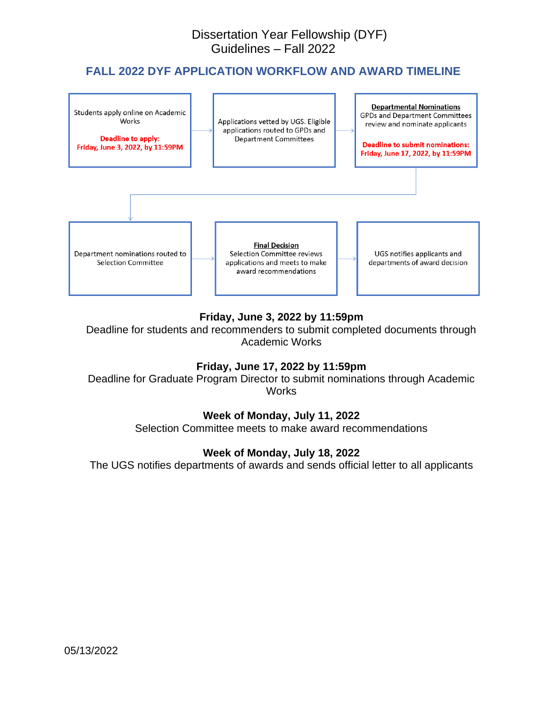#### **FALL 2022 DYF APPLICATION WORKFLOW AND AWARD TIMELINE**



#### **Friday, June 3, 2022 by 11:59pm**

Deadline for students and recommenders to submit completed documents through Academic Works

#### **Friday, June 17, 2022 by 11:59pm**

Deadline for Graduate Program Director to submit nominations through Academic **Works** 

#### **Week of Monday, July 11, 2022**

Selection Committee meets to make award recommendations

#### **Week of Monday, July 18, 2022**

The UGS notifies departments of awards and sends official letter to all applicants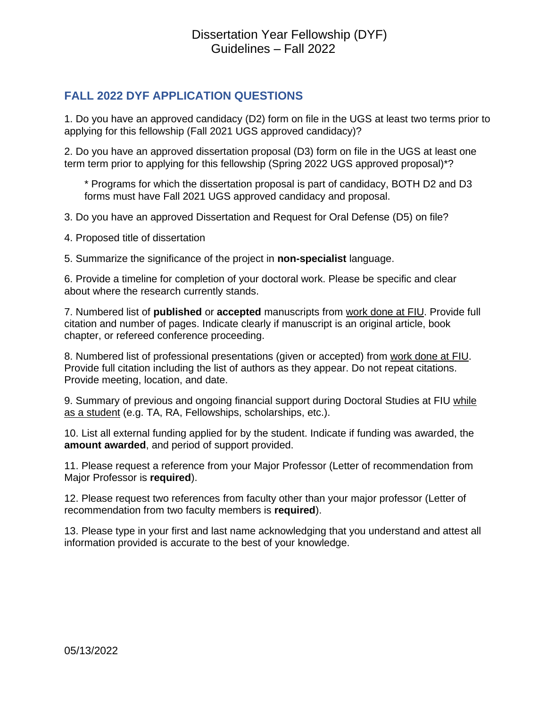#### **FALL 2022 DYF APPLICATION QUESTIONS**

1. Do you have an approved candidacy (D2) form on file in the UGS at least two terms prior to applying for this fellowship (Fall 2021 UGS approved candidacy)?

2. Do you have an approved dissertation proposal (D3) form on file in the UGS at least one term term prior to applying for this fellowship (Spring 2022 UGS approved proposal)\*?

\* Programs for which the dissertation proposal is part of candidacy, BOTH D2 and D3 forms must have Fall 2021 UGS approved candidacy and proposal.

3. Do you have an approved Dissertation and Request for Oral Defense (D5) on file?

4. Proposed title of dissertation

5. Summarize the significance of the project in **non-specialist** language.

6. Provide a timeline for completion of your doctoral work. Please be specific and clear about where the research currently stands.

7. Numbered list of **published** or **accepted** manuscripts from work done at FIU. Provide full citation and number of pages. Indicate clearly if manuscript is an original article, book chapter, or refereed conference proceeding.

8. Numbered list of professional presentations (given or accepted) from work done at FIU. Provide full citation including the list of authors as they appear. Do not repeat citations. Provide meeting, location, and date.

9. Summary of previous and ongoing financial support during Doctoral Studies at FIU while as a student (e.g. TA, RA, Fellowships, scholarships, etc.).

10. List all external funding applied for by the student. Indicate if funding was awarded, the **amount awarded**, and period of support provided.

11. Please request a reference from your Major Professor (Letter of recommendation from Major Professor is **required**).

12. Please request two references from faculty other than your major professor (Letter of recommendation from two faculty members is **required**).

13. Please type in your first and last name acknowledging that you understand and attest all information provided is accurate to the best of your knowledge.